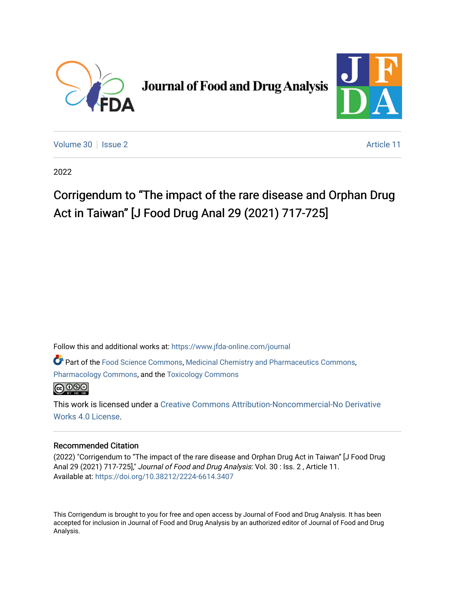

**Journal of Food and Drug Analysis** 



[Volume 30](https://www.jfda-online.com/journal/vol30) | [Issue 2](https://www.jfda-online.com/journal/vol30/iss2) Article 11

2022

## Corrigendum to "The impact of the rare disease and Orphan Drug Act in Taiwan" [J Food Drug Anal 29 (2021) 717-725]

Follow this and additional works at: [https://www.jfda-online.com/journal](https://www.jfda-online.com/journal?utm_source=www.jfda-online.com%2Fjournal%2Fvol30%2Fiss2%2F11&utm_medium=PDF&utm_campaign=PDFCoverPages)

Part of the [Food Science Commons,](https://network.bepress.com/hgg/discipline/84?utm_source=www.jfda-online.com%2Fjournal%2Fvol30%2Fiss2%2F11&utm_medium=PDF&utm_campaign=PDFCoverPages) [Medicinal Chemistry and Pharmaceutics Commons](https://network.bepress.com/hgg/discipline/65?utm_source=www.jfda-online.com%2Fjournal%2Fvol30%2Fiss2%2F11&utm_medium=PDF&utm_campaign=PDFCoverPages), [Pharmacology Commons,](https://network.bepress.com/hgg/discipline/66?utm_source=www.jfda-online.com%2Fjournal%2Fvol30%2Fiss2%2F11&utm_medium=PDF&utm_campaign=PDFCoverPages) and the [Toxicology Commons](https://network.bepress.com/hgg/discipline/67?utm_source=www.jfda-online.com%2Fjournal%2Fvol30%2Fiss2%2F11&utm_medium=PDF&utm_campaign=PDFCoverPages)



This work is licensed under a [Creative Commons Attribution-Noncommercial-No Derivative](https://creativecommons.org/licenses/by-nc-nd/4.0/)  [Works 4.0 License](https://creativecommons.org/licenses/by-nc-nd/4.0/).

## Recommended Citation

(2022) "Corrigendum to "The impact of the rare disease and Orphan Drug Act in Taiwan" [J Food Drug Anal 29 (2021) 717-725]," Journal of Food and Drug Analysis: Vol. 30 : Iss. 2 , Article 11. Available at:<https://doi.org/10.38212/2224-6614.3407>

This Corrigendum is brought to you for free and open access by Journal of Food and Drug Analysis. It has been accepted for inclusion in Journal of Food and Drug Analysis by an authorized editor of Journal of Food and Drug Analysis.